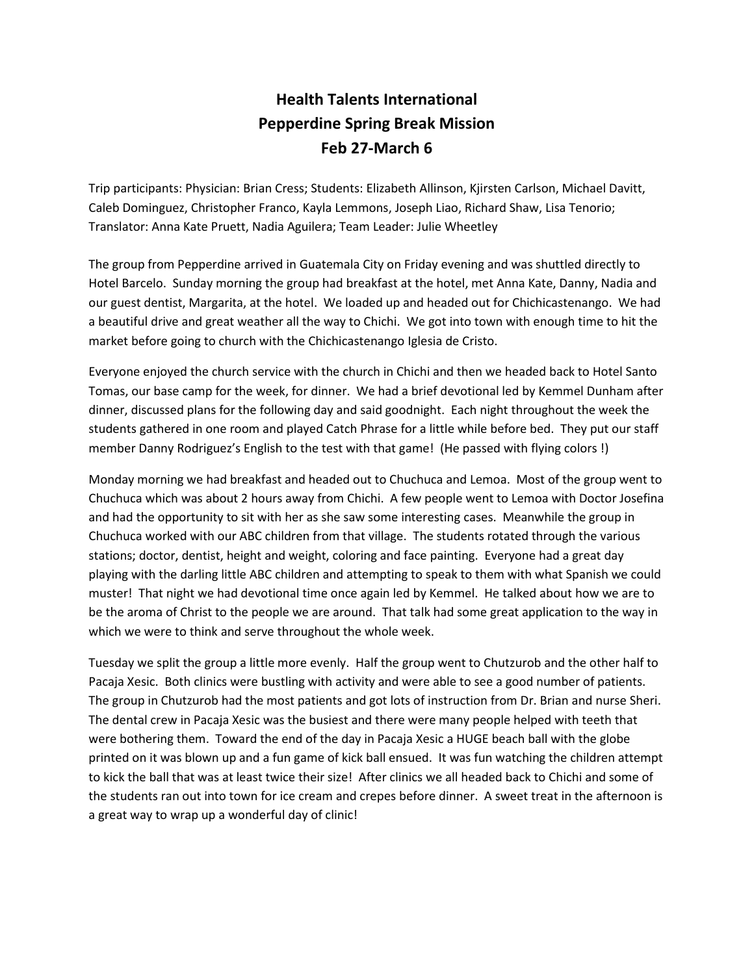## **Health Talents International Pepperdine Spring Break Mission Feb 27-March 6**

Trip participants: Physician: Brian Cress; Students: Elizabeth Allinson, Kjirsten Carlson, Michael Davitt, Caleb Dominguez, Christopher Franco, Kayla Lemmons, Joseph Liao, Richard Shaw, Lisa Tenorio; Translator: Anna Kate Pruett, Nadia Aguilera; Team Leader: Julie Wheetley

The group from Pepperdine arrived in Guatemala City on Friday evening and was shuttled directly to Hotel Barcelo. Sunday morning the group had breakfast at the hotel, met Anna Kate, Danny, Nadia and our guest dentist, Margarita, at the hotel. We loaded up and headed out for Chichicastenango. We had a beautiful drive and great weather all the way to Chichi. We got into town with enough time to hit the market before going to church with the Chichicastenango Iglesia de Cristo.

Everyone enjoyed the church service with the church in Chichi and then we headed back to Hotel Santo Tomas, our base camp for the week, for dinner. We had a brief devotional led by Kemmel Dunham after dinner, discussed plans for the following day and said goodnight. Each night throughout the week the students gathered in one room and played Catch Phrase for a little while before bed. They put our staff member Danny Rodriguez's English to the test with that game! (He passed with flying colors !)

Monday morning we had breakfast and headed out to Chuchuca and Lemoa. Most of the group went to Chuchuca which was about 2 hours away from Chichi. A few people went to Lemoa with Doctor Josefina and had the opportunity to sit with her as she saw some interesting cases. Meanwhile the group in Chuchuca worked with our ABC children from that village. The students rotated through the various stations; doctor, dentist, height and weight, coloring and face painting. Everyone had a great day playing with the darling little ABC children and attempting to speak to them with what Spanish we could muster! That night we had devotional time once again led by Kemmel. He talked about how we are to be the aroma of Christ to the people we are around. That talk had some great application to the way in which we were to think and serve throughout the whole week.

Tuesday we split the group a little more evenly. Half the group went to Chutzurob and the other half to Pacaja Xesic. Both clinics were bustling with activity and were able to see a good number of patients. The group in Chutzurob had the most patients and got lots of instruction from Dr. Brian and nurse Sheri. The dental crew in Pacaja Xesic was the busiest and there were many people helped with teeth that were bothering them. Toward the end of the day in Pacaja Xesic a HUGE beach ball with the globe printed on it was blown up and a fun game of kick ball ensued. It was fun watching the children attempt to kick the ball that was at least twice their size! After clinics we all headed back to Chichi and some of the students ran out into town for ice cream and crepes before dinner. A sweet treat in the afternoon is a great way to wrap up a wonderful day of clinic!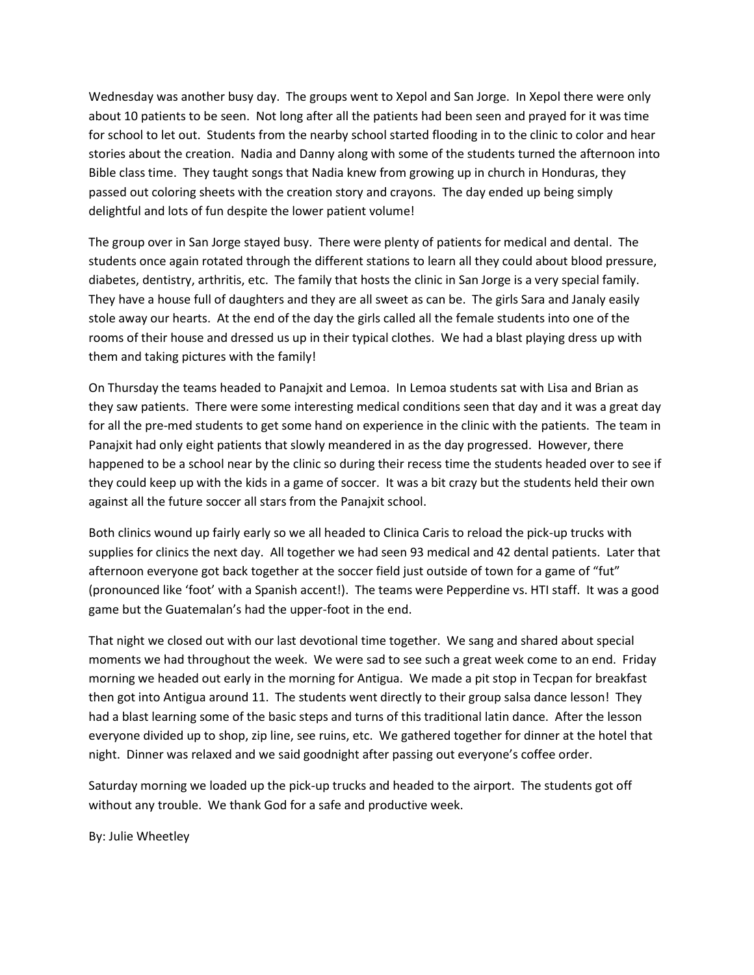Wednesday was another busy day. The groups went to Xepol and San Jorge. In Xepol there were only about 10 patients to be seen. Not long after all the patients had been seen and prayed for it was time for school to let out. Students from the nearby school started flooding in to the clinic to color and hear stories about the creation. Nadia and Danny along with some of the students turned the afternoon into Bible class time. They taught songs that Nadia knew from growing up in church in Honduras, they passed out coloring sheets with the creation story and crayons. The day ended up being simply delightful and lots of fun despite the lower patient volume!

The group over in San Jorge stayed busy. There were plenty of patients for medical and dental. The students once again rotated through the different stations to learn all they could about blood pressure, diabetes, dentistry, arthritis, etc. The family that hosts the clinic in San Jorge is a very special family. They have a house full of daughters and they are all sweet as can be. The girls Sara and Janaly easily stole away our hearts. At the end of the day the girls called all the female students into one of the rooms of their house and dressed us up in their typical clothes. We had a blast playing dress up with them and taking pictures with the family!

On Thursday the teams headed to Panajxit and Lemoa. In Lemoa students sat with Lisa and Brian as they saw patients. There were some interesting medical conditions seen that day and it was a great day for all the pre-med students to get some hand on experience in the clinic with the patients. The team in Panajxit had only eight patients that slowly meandered in as the day progressed. However, there happened to be a school near by the clinic so during their recess time the students headed over to see if they could keep up with the kids in a game of soccer. It was a bit crazy but the students held their own against all the future soccer all stars from the Panajxit school.

Both clinics wound up fairly early so we all headed to Clinica Caris to reload the pick-up trucks with supplies for clinics the next day. All together we had seen 93 medical and 42 dental patients. Later that afternoon everyone got back together at the soccer field just outside of town for a game of "fut" (pronounced like 'foot' with a Spanish accent!). The teams were Pepperdine vs. HTI staff. It was a good game but the Guatemalan's had the upper-foot in the end.

That night we closed out with our last devotional time together. We sang and shared about special moments we had throughout the week. We were sad to see such a great week come to an end. Friday morning we headed out early in the morning for Antigua. We made a pit stop in Tecpan for breakfast then got into Antigua around 11. The students went directly to their group salsa dance lesson! They had a blast learning some of the basic steps and turns of this traditional latin dance. After the lesson everyone divided up to shop, zip line, see ruins, etc. We gathered together for dinner at the hotel that night. Dinner was relaxed and we said goodnight after passing out everyone's coffee order.

Saturday morning we loaded up the pick-up trucks and headed to the airport. The students got off without any trouble. We thank God for a safe and productive week.

By: Julie Wheetley